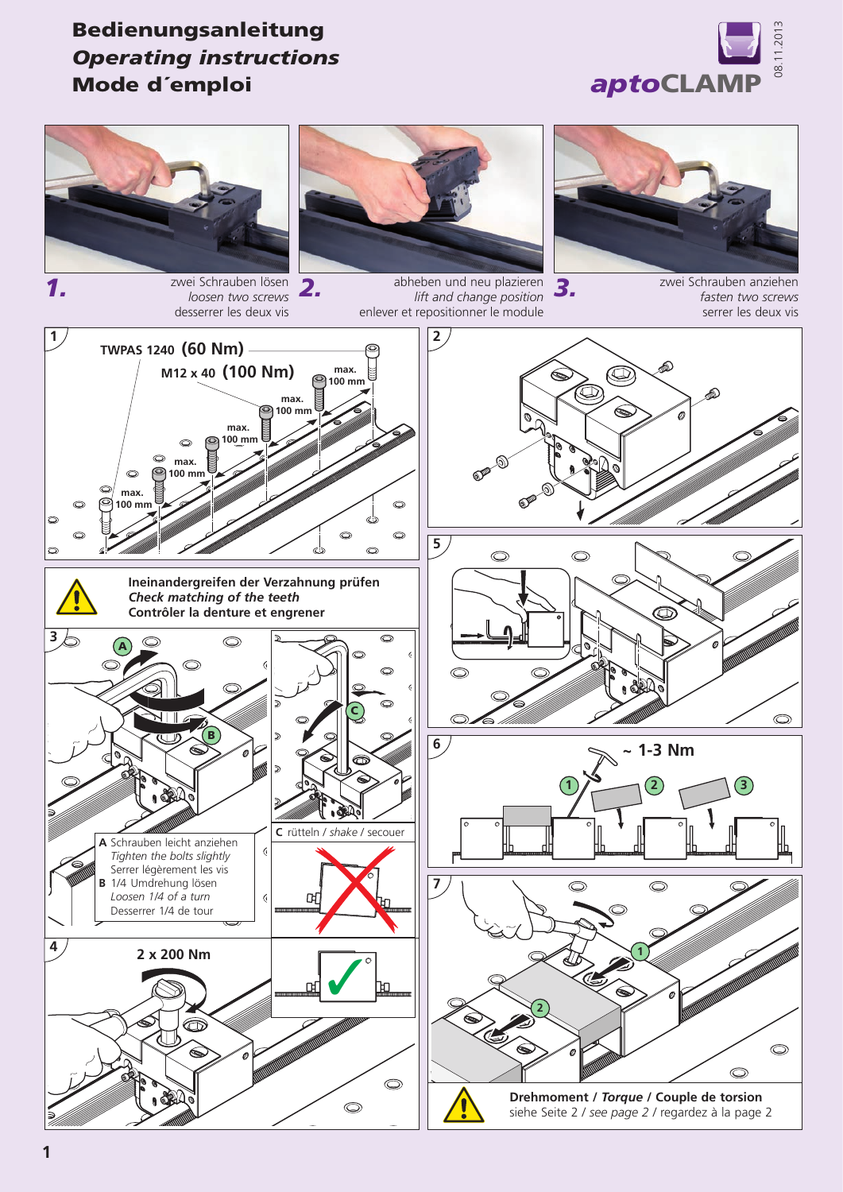

## Bedienungsanleitung *Operating instructions* Mode d´emploi



*loosen two screws*



abheben und neu plazieren *2.* zwei Schrauben anziehen *3.* zwei Schrauben lösen *lift and change position* enlever et repositionner le module



*fasten two screws*